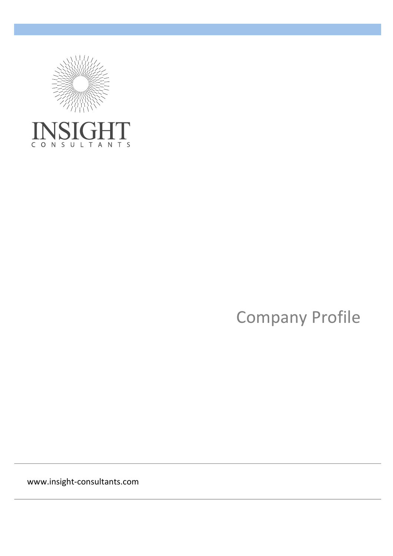

CONSULTANTS

Company Profile

www.insight-consultants.com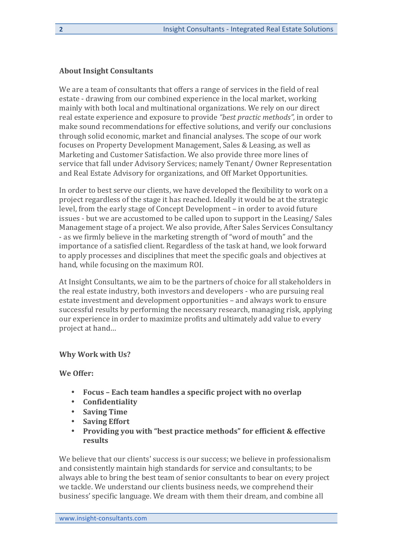## **About Insight Consultants**

We are a team of consultants that offers a range of services in the field of real estate - drawing from our combined experience in the local market, working mainly with both local and multinational organizations. We rely on our direct real estate experience and exposure to provide "best practic methods", in order to make sound recommendations for effective solutions, and verify our conclusions through solid economic, market and financial analyses. The scope of our work focuses on Property Development Management, Sales & Leasing, as well as Marketing and Customer Satisfaction. We also provide three more lines of service that fall under Advisory Services; namely Tenant/ Owner Representation and Real Estate Advisory for organizations, and Off Market Opportunities.

In order to best serve our clients, we have developed the flexibility to work on a project regardless of the stage it has reached. Ideally it would be at the strategic level, from the early stage of Concept Development – in order to avoid future issues - but we are accustomed to be called upon to support in the Leasing/ Sales Management stage of a project. We also provide, After Sales Services Consultancy - as we firmly believe in the marketing strength of "word of mouth" and the importance of a satisfied client. Regardless of the task at hand, we look forward to apply processes and disciplines that meet the specific goals and objectives at hand, while focusing on the maximum ROI.

At Insight Consultants, we aim to be the partners of choice for all stakeholders in the real estate industry, both investors and developers - who are pursuing real estate investment and development opportunities – and always work to ensure successful results by performing the necessary research, managing risk, applying our experience in order to maximize profits and ultimately add value to every project at hand...

## **Why Work with Us?**

#### **We Offer:**

- Focus Each team handles a specific project with no overlap
- **Confidentiality**
- **Saving Time**
- **Saving Effort**
- **Providing you with "best practice methods" for efficient & effective results**

We believe that our clients' success is our success; we believe in professionalism and consistently maintain high standards for service and consultants; to be always able to bring the best team of senior consultants to bear on every project we tackle. We understand our clients business needs, we comprehend their business' specific language. We dream with them their dream, and combine all